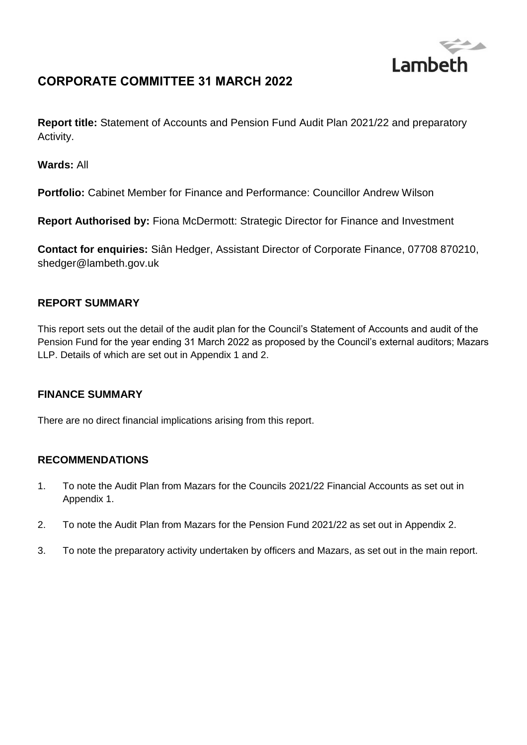

# **CORPORATE COMMITTEE 31 MARCH 2022**

**Report title:** Statement of Accounts and Pension Fund Audit Plan 2021/22 and preparatory Activity.

**Wards:** All

**Portfolio:** Cabinet Member for Finance and Performance: Councillor Andrew Wilson

**Report Authorised by:** Fiona McDermott: Strategic Director for Finance and Investment

**Contact for enquiries:** Siân Hedger, Assistant Director of Corporate Finance, 07708 870210, shedge[r@lambeth.gov.uk](mailto:someofficer@lambeth.gov.uk)

### **REPORT SUMMARY**

This report sets out the detail of the audit plan for the Council's Statement of Accounts and audit of the Pension Fund for the year ending 31 March 2022 as proposed by the Council's external auditors; Mazars LLP. Details of which are set out in Appendix 1 and 2.

#### **FINANCE SUMMARY**

There are no direct financial implications arising from this report.

#### **RECOMMENDATIONS**

- 1. To note the Audit Plan from Mazars for the Councils 2021/22 Financial Accounts as set out in Appendix 1.
- 2. To note the Audit Plan from Mazars for the Pension Fund 2021/22 as set out in Appendix 2.
- 3. To note the preparatory activity undertaken by officers and Mazars, as set out in the main report.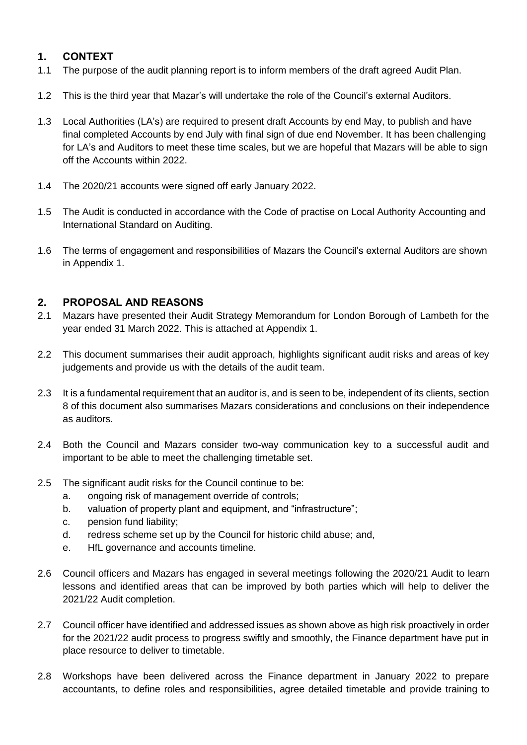# **1. CONTEXT**

- 1.1 The purpose of the audit planning report is to inform members of the draft agreed Audit Plan.
- 1.2 This is the third year that Mazar's will undertake the role of the Council's external Auditors.
- 1.3 Local Authorities (LA's) are required to present draft Accounts by end May, to publish and have final completed Accounts by end July with final sign of due end November. It has been challenging for LA's and Auditors to meet these time scales, but we are hopeful that Mazars will be able to sign off the Accounts within 2022.
- 1.4 The 2020/21 accounts were signed off early January 2022.
- 1.5 The Audit is conducted in accordance with the Code of practise on Local Authority Accounting and International Standard on Auditing.
- 1.6 The terms of engagement and responsibilities of Mazars the Council's external Auditors are shown in Appendix 1.

# **2. PROPOSAL AND REASONS**

- 2.1 Mazars have presented their Audit Strategy Memorandum for London Borough of Lambeth for the year ended 31 March 2022. This is attached at Appendix 1.
- 2.2 This document summarises their audit approach, highlights significant audit risks and areas of key judgements and provide us with the details of the audit team.
- 2.3 It is a fundamental requirement that an auditor is, and is seen to be, independent of its clients, section 8 of this document also summarises Mazars considerations and conclusions on their independence as auditors.
- 2.4 Both the Council and Mazars consider two-way communication key to a successful audit and important to be able to meet the challenging timetable set.
- 2.5 The significant audit risks for the Council continue to be:
	- a. ongoing risk of management override of controls;
	- b. valuation of property plant and equipment, and "infrastructure";
	- c. pension fund liability;
	- d. redress scheme set up by the Council for historic child abuse; and,
	- e. HfL governance and accounts timeline.
- 2.6 Council officers and Mazars has engaged in several meetings following the 2020/21 Audit to learn lessons and identified areas that can be improved by both parties which will help to deliver the 2021/22 Audit completion.
- 2.7 Council officer have identified and addressed issues as shown above as high risk proactively in order for the 2021/22 audit process to progress swiftly and smoothly, the Finance department have put in place resource to deliver to timetable.
- 2.8 Workshops have been delivered across the Finance department in January 2022 to prepare accountants, to define roles and responsibilities, agree detailed timetable and provide training to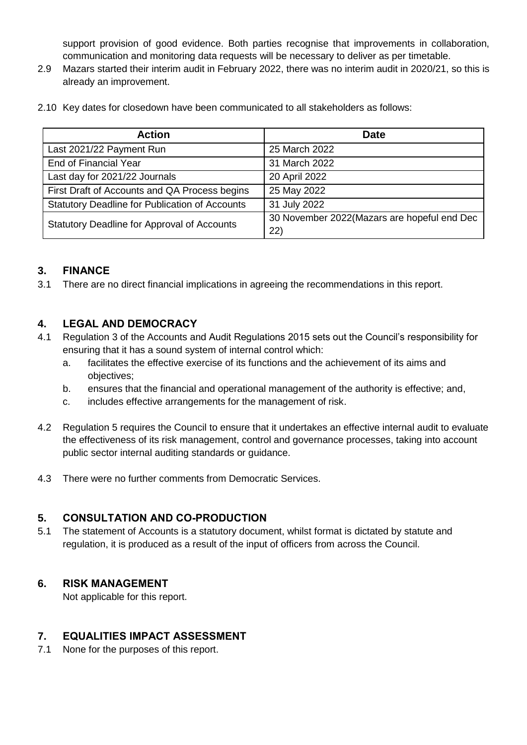support provision of good evidence. Both parties recognise that improvements in collaboration, communication and monitoring data requests will be necessary to deliver as per timetable.

- 2.9 Mazars started their interim audit in February 2022, there was no interim audit in 2020/21, so this is already an improvement.
- 2.10 Key dates for closedown have been communicated to all stakeholders as follows:

| <b>Action</b>                                         | <b>Date</b>                                         |
|-------------------------------------------------------|-----------------------------------------------------|
| Last 2021/22 Payment Run                              | 25 March 2022                                       |
| <b>End of Financial Year</b>                          | 31 March 2022                                       |
| Last day for 2021/22 Journals                         | 20 April 2022                                       |
| First Draft of Accounts and QA Process begins         | 25 May 2022                                         |
| <b>Statutory Deadline for Publication of Accounts</b> | 31 July 2022                                        |
| Statutory Deadline for Approval of Accounts           | 30 November 2022 (Mazars are hopeful end Dec<br>22) |

### **3. FINANCE**

3.1 There are no direct financial implications in agreeing the recommendations in this report.

### **4. LEGAL AND DEMOCRACY**

- 4.1 Regulation 3 of the Accounts and Audit Regulations 2015 sets out the Council's responsibility for ensuring that it has a sound system of internal control which:
	- a. facilitates the effective exercise of its functions and the achievement of its aims and objectives;
	- b. ensures that the financial and operational management of the authority is effective; and,
	- c. includes effective arrangements for the management of risk.
- 4.2 Regulation 5 requires the Council to ensure that it undertakes an effective internal audit to evaluate the effectiveness of its risk management, control and governance processes, taking into account public sector internal auditing standards or guidance.
- 4.3 There were no further comments from Democratic Services.

### **5. CONSULTATION AND CO-PRODUCTION**

5.1 The statement of Accounts is a statutory document, whilst format is dictated by statute and regulation, it is produced as a result of the input of officers from across the Council.

#### **6. RISK MANAGEMENT**

Not applicable for this report.

#### **7. EQUALITIES IMPACT ASSESSMENT**

7.1 None for the purposes of this report.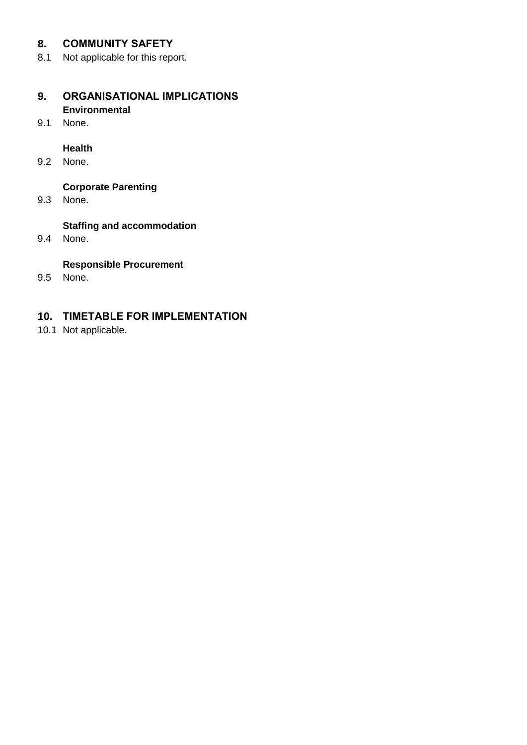# **8. COMMUNITY SAFETY**

8.1 Not applicable for this report.

#### **9. ORGANISATIONAL IMPLICATIONS Environmental**

9.1 None.

#### **Health**

9.2 None.

### **Corporate Parenting**

9.3 None.

# **Staffing and accommodation**

9.4 None.

#### **Responsible Procurement**

9.5 None.

### **10. TIMETABLE FOR IMPLEMENTATION**

10.1 Not applicable.